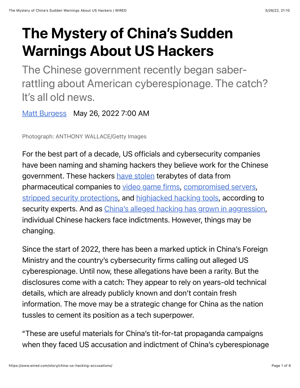## The Mystery of China's Sudden Warnings About US Hackers

The Chinese government recently began saberrattling about American cyberespionage. The catch? It's all old news.

[Matt Burgess](https://www.wired.com/author/matt-burgess) May 26, 2022 7:00 AM

Photograph: ANTHONY WALLACE/Getty Images

For the best part of a decade, US officials and cybersecurity companies have been naming and shaming hackers they believe work for the Chinese government. These hackers [have stolen](https://www.wired.com/2013/02/chinese-army-linked-to-hacks/) terabytes of data from pharmaceutical companies to [video game firms,](https://www.wired.com/story/chinese-hackers-charged-decade-long-crime-spying-spree/) [compromised servers](https://www.wired.com/story/fbi-takes-drastic-step-to-fight-china-hacking-spree/), [stripped security protections,](https://www.wired.com/story/the-full-story-of-the-stunning-rsa-hack-can-finally-be-told/) and [highjacked hacking tools](https://www.wired.com/story/china-nsa-hacking-tool-epme-hijack/), according to security experts. And as *China's alleged hacking has grown in aggression*, individual Chinese hackers face indictments. However, things may be changing.

Since the start of 2022, there has been a marked uptick in China's Foreign Ministry and the country's cybersecurity firms calling out alleged US cyberespionage. Until now, these allegations have been a rarity. But the disclosures come with a catch: They appear to rely on years-old technical details, which are already publicly known and don't contain fresh information. The move may be a strategic change for China as the nation tussles to cement its position as a tech superpower.

"These are useful materials for China's tit-for-tat propaganda campaigns when they faced US accusation and indictment of China's cyberespionage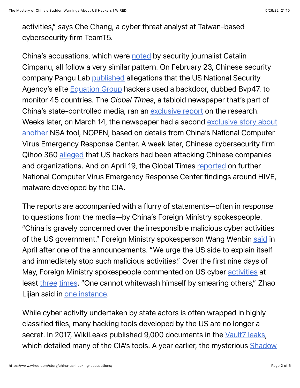activities," says Che Chang, a cyber threat analyst at Taiwan-based cybersecurity firm TeamT5.

China's accusations, which were [noted](https://riskybiznews.substack.com/p/risky-biz-news-china-complains-about) by security journalist Catalin Cimpanu, all follow a very similar pattern. On February 23, Chinese security company Pangu Lab [published](https://www.pangulab.cn/post/the_bvp47_a_top-tier_backdoor_of_us_nsa_equation_group/) allegations that the US National Security Agency's elite [Equation Group](https://www.kaspersky.com/about/press-releases/2015_equation-group-the-crown-creator-of-cyber-espionage) hackers used a backdoor, dubbed Bvp47, to monitor 45 countries. The *Global Times*, a tabloid newspaper that's part of China's state-controlled media, ran an [exclusive report](https://www.globaltimes.cn/page/202202/1252952.shtml) on the research. [Weeks later, on March 14, the newspaper had a second exclusive story about](https://www.globaltimes.cn/page/202203/1254856.shtml) another NSA tool, NOPEN, based on details from China's National Computer Virus Emergency Response Center. A week later, Chinese cybersecurity firm Qihoo 360 [alleged](https://finance.yahoo.com/news/china-cybersecurity-firm-alleges-us-093000291.html) that US hackers had been attacking Chinese companies and organizations. And on April 19, the Global Times [reported](https://www.globaltimes.cn/page/202204/1259749.shtml) on further National Computer Virus Emergency Response Center findings around HIVE, malware developed by the CIA.

The reports are accompanied with a flurry of statements—often in response to questions from the media—by China's Foreign Ministry spokespeople. "China is gravely concerned over the irresponsible malicious cyber activities of the US government," Foreign Ministry spokesperson Wang Wenbin [said](http://us.china-embassy.gov.cn/eng/fyrth/202204/t20220420_10670511.htm) in April after one of the announcements. "We urge the US side to explain itself and immediately stop such malicious activities." Over the first nine days of May, Foreign Ministry spokespeople commented on US cyber [activities](http://us.china-embassy.gov.cn/eng/fyrth/202205/t20220505_10681955.htm) at least [three](http://us.china-embassy.gov.cn/eng/fyrth/202205/t20220506_10682555.htm) [times.](https://www.fmprc.gov.cn/mfa_eng/xwfw_665399/s2510_665401/2511_665403/202205/t20220509_10683549.html) "One cannot whitewash himself by smearing others," Zhao Lijian said in [one instance](http://us.china-embassy.gov.cn/eng/fyrth/202205/t20220505_10681955.htm).

While cyber activity undertaken by state actors is often wrapped in highly classified files, many hacking tools developed by the US are no longer a secret. In 2017, WikiLeaks published 9,000 documents in the [Vault7 leaks,](https://www.wired.com/tag/vault-7/) [which detailed many of the CIA's tools. A year earlier, the mysterious Shadow](https://www.wired.com/tag/shadow-brokers/)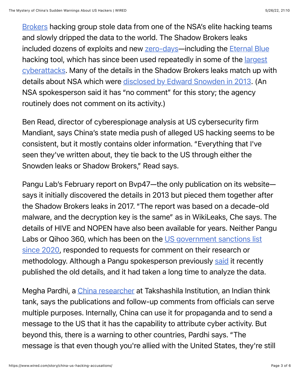[Brokers hacking group stole data from one of the NSA's elite hacking teams](https://www.wired.com/tag/shadow-brokers/) and slowly dripped the data to the world. The Shadow Brokers leaks included dozens of exploits and new [zero-days](https://www.wired.com/2016/08/shadow-brokers-mess-happens-nsa-hoards-zero-days/)—including the [Eternal Blue](https://www.wired.com/story/eternalblue-leaked-nsa-spy-tool-hacked-world/) hacking tool, which has since been used repeatedly in some of the *largest* [cyberattacks. Many of the details in the Shadow Brokers leaks match up w](https://www.wired.com/story/eternalblue-leaked-nsa-spy-tool-hacked-world/)ith details about NSA which were [disclosed by Edward Snowden in 2013](https://www.wired.com/2013/12/nsa-hacking-catalogue/). (An NSA spokesperson said it has "no comment" for this story; the agency routinely does not comment on its activity.)

Ben Read, director of cyberespionage analysis at US cybersecurity firm Mandiant, says China's state media push of alleged US hacking seems to be consistent, but it mostly contains older information. "Everything that I've seen they've written about, they tie back to the US through either the Snowden leaks or Shadow Brokers," Read says.

Pangu Lab's February report on Bvp47—the only publication on its website says it initially discovered the details in 2013 but pieced them together after the Shadow Brokers leaks in 2017. "The report was based on a decade-old malware, and the decryption key is the same" as in WikiLeaks, Che says. The details of HIVE and NOPEN have also been available for years. Neither Pangu [Labs or Qihoo 360, which has been on the US government sanctions list](https://sg.news.yahoo.com/us-slaps-sanctions-33-chinese-095408321.html) since 2020, responded to requests for comment on their research or methodology. Although a Pangu spokesperson previously [said](https://finance.yahoo.com/news/chinese-report-suspected-nsa-hack-110731710.html) it recently published the old details, and it had taken a long time to analyze the data.

Megha Pardhi, a [China researcher](https://thediplomat.com/2022/04/chinas-new-focus-on-us-cyber-activities/) at Takshashila Institution, an Indian think tank, says the publications and follow-up comments from officials can serve multiple purposes. Internally, China can use it for propaganda and to send a message to the US that it has the capability to attribute cyber activity. But beyond this, there is a warning to other countries, Pardhi says. "The message is that even though you're allied with the United States, they're still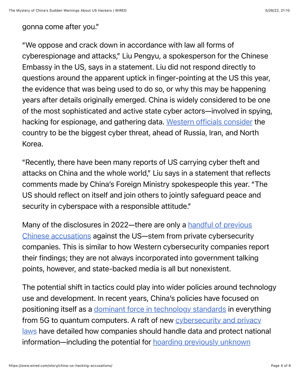## gonna come after you."

"We oppose and crack down in accordance with law all forms of cyberespionage and attacks," Liu Pengyu, a spokesperson for the Chinese Embassy in the US, says in a statement. Liu did not respond directly to questions around the apparent uptick in finger-pointing at the US this year, the evidence that was being used to do so, or why this may be happening years after details originally emerged. China is widely considered to be one of the most sophisticated and active state cyber actors—involved in spying, hacking for espionage, and gathering data. [Western officials consider](https://www.gov.uk/government/speeches/cs-speech-to-the-international-institute-for-strategic-studies) the country to be the biggest cyber threat, ahead of Russia, Iran, and North Korea.

"Recently, there have been many reports of US carrying cyber theft and attacks on China and the whole world," Liu says in a statement that reflects comments made by China's Foreign Ministry spokespeople this year. "The US should reflect on itself and join others to jointly safeguard peace and security in cyberspace with a responsible attitude."

[Many of the disclosures in 2022—there are only a handful of previous](https://www.reuters.com/article/us-china-usa-cia-idUSKBN20Q2SI) Chinese accusations against the US—stem from private cybersecurity companies. This is similar to how Western cybersecurity companies report their findings; they are not always incorporated into government talking points, however, and state-backed media is all but nonexistent.

The potential shift in tactics could play into wider policies around technology use and development. In recent years, China's policies have focused on positioning itself as a [dominant force in technology standards](https://carnegieendowment.org/2021/10/28/three-takeaways-from-china-s-new-standards-strategy-pub-85678) in everything [from 5G to quantum computers. A raft of new cybersecurity and privacy](https://www.wired.com/story/china-personal-data-law-pipl/) laws have detailed how companies should handle data and protect national [information—including the potential for hoarding previously unknown](https://breakingdefense.com/2021/09/chinas-new-data-security-law-will-provide-it-early-notice-of-exploitable-zero-days/)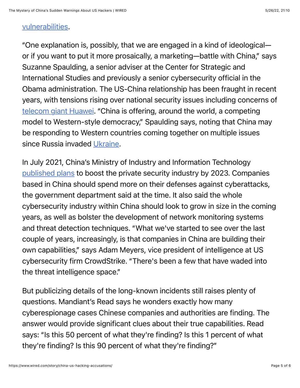## [vulnerabilities.](https://breakingdefense.com/2021/09/chinas-new-data-security-law-will-provide-it-early-notice-of-exploitable-zero-days/)

"One explanation is, possibly, that we are engaged in a kind of ideological or if you want to put it more prosaically, a marketing—battle with China," says Suzanne Spaulding, a senior adviser at the Center for Strategic and International Studies and previously a senior cybersecurity official in the Obama administration. The US-China relationship has been fraught in recent years, with tensions rising over national security issues including concerns of [telecom giant Huawei](https://www.wired.com/story/us-feds-battle-against-huawei/). "China is offering, around the world, a competing model to Western-style democracy," Spaulding says, noting that China may be responding to Western countries coming together on multiple issues since Russia invaded [Ukraine.](https://www.wired.com/tag/ukraine/)

In July 2021, China's Ministry of Industry and Information Technology [published plans](https://web.archive.org/web/20210713153324/https://www.scmp.com/tech/policy/article/3140963/china-drafts-three-year-plan-boost-its-cybersecurity-industry-amid) to boost the private security industry by 2023. Companies based in China should spend more on their defenses against cyberattacks, the government department said at the time. It also said the whole cybersecurity industry within China should look to grow in size in the coming years, as well as bolster the development of network monitoring systems and threat detection techniques. "What we've started to see over the last couple of years, increasingly, is that companies in China are building their own capabilities," says Adam Meyers, vice president of intelligence at US cybersecurity firm CrowdStrike. "There's been a few that have waded into the threat intelligence space."

But publicizing details of the long-known incidents still raises plenty of questions. Mandiant's Read says he wonders exactly how many cyberespionage cases Chinese companies and authorities are finding. The answer would provide significant clues about their true capabilities. Read says: "Is this 50 percent of what they're finding? Is this 1 percent of what they're finding? Is this 90 percent of what they're finding?"